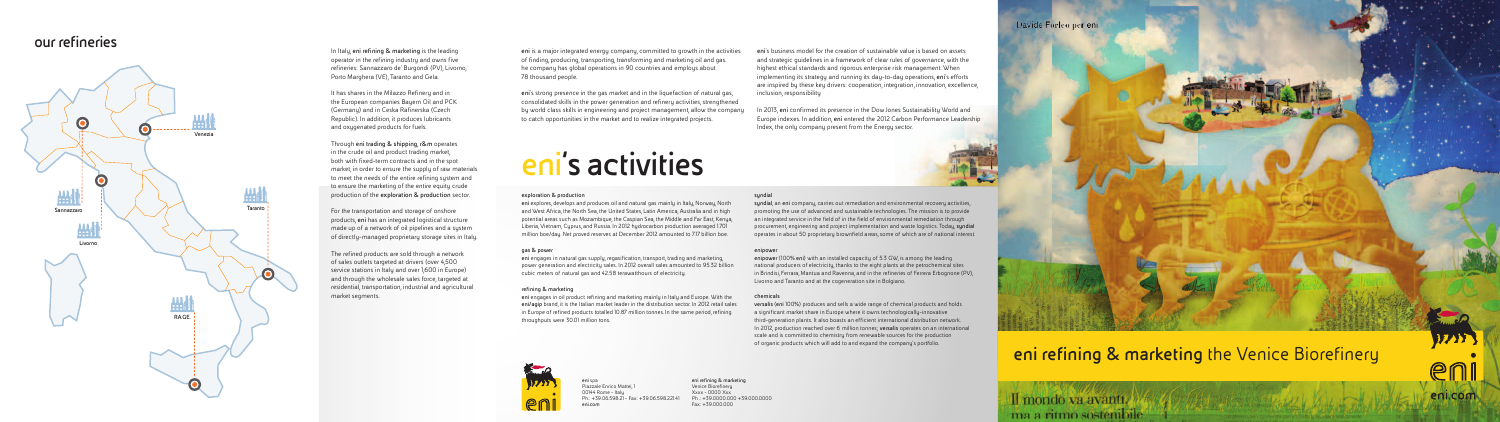In Italy, **eni refining & marketing** is the leading operator in the refining industry and owns five refineries: Sannazzaro de' Burgondi (PV), Livorno, Porto Marghera (VE), Taranto and Gela.

It has shares in the Milazzo Refinery and in the European companies Bayern Oil and PCK (Germany) and in Ceska Rafinerska (Czech Republic). In addition, it produces lubricants and oxygenated products for fuels.

Through **eni trading & shipping**, **r&m** operates in the crude oil and product trading market, both with fixed-term contracts and in the spot market, in order to ensure the supply of raw materials to meet the needs of the entire refining system and to ensure the marketing of the entire equity crude production of the **exploration & production** sector.

For the transportation and storage of onshore products, **eni** has an integrated logistical structure made up of a network of oil pipelines and a system of directly-managed proprietary storage sites in Italy.

The refined products are sold through a network of sales outlets targeted at drivers (over 4,500 service stations in Italy and over 1,600 in Europe) and through the wholesale sales force, targeted at residential, transportation, industrial and agricultural market segments.

# **eni refining & marketing** the Venice Biorefinery

# Il mondo va avanti. ma a ritmo sostenibile

3733

eni.com

**eni** spa Piazzale Enrico Mattei, 1 00144 Rome - Italy  $Ph: +39.06.598.21 - Fax: +39.06.598.22141$ **eni.com**

**eni refining & marketing** Venice Biorefinery Xxxx - 0000 Xxx  $Ph : +39.0000.000 + 39.000.0000$ Fax: +39.000.000

### Davide Forleo per eni



# **our refineries**



# **eni's activities**

### **exploration & production**

**eni** explores, develops and produces oil and natural gas mainly in Italy, Norway, North and West Africa, the North Sea, the United States, Latin America, Australia and in high potential areas such as Mozambique, the Caspian Sea, the Middle and Far East, Kenya, Liberia, Vietnam, Cyprus, and Russia. In 2012 hydrocarbon production averaged 1.701 million boe/day. Net proved reserves at December 2012 amounted to 7.17 billion boe.

#### **gas & power**

**eni** engages in natural gas supply, regasification, transport, trading and marketing, power generation and electricity sales. In 2012 overall sales amounted to 95.32 billion cubic meters of natural gas and 42.58 terawatthours of electricity.

#### **refining & marketing**

**eni** engages in oil product refining and marketing mainly in Italy and Europe. With the **eni/agip** brand, it is the Italian market leader in the distribution sector. In 2012 retail sales in Europe of refined products totalled 10.87 million tonnes. In the same period, refining throughputs were 30.01 million tons.



#### **syndial**

**syndial**, an **eni** company, carries out remediation and environmental recovery activities, promoting the use of advanced and sustainable technologies. The mission is to provide an integrated service in the field of in the field of environmental remediation through procurement, engineering and project implementation and waste logistics. Today, **syndial**  operates in about 50 proprietary brownfield areas, some of which are of national interest.

#### **enipower**

**enipower** (100% **eni**) with an installed capacity of 5.3 GW, is among the leading national producers of electricity, thanks to the eight plants at the petrochemical sites in Brindisi, Ferrara, Mantua and Ravenna, and in the refineries of Ferrera Erbognone (PV), Livorno and Taranto and at the cogeneration site in Bolgiano.

#### **chemicals**

**versalis** (**eni** 100%) produces and sells a wide range of chemical products and holds a significant market share in Europe where it owns technologically-innovative third-generation plants. It also boasts an efficient international distribution network. In 2012, production reached over 6 million tonnes; **versalis** operates on an international scale and is committed to chemistry from renewable sources for the production of organic products which will add to and expand the company's portfolio.

**eni** is a major integrated energy company, committed to growth in the activities of finding, producing, transporting, transforming and marketing oil and gas. he company has global operations in 90 countries and employs about 78 thousand people.

**eni**'s strong presence in the gas market and in the liquefaction of natural gas, consolidated skills in the power generation and refinery activities, strengthened by world class skills in engineering and project management, allow the company to catch opportunities in the market and to realize integrated projects.

**eni**'s business model for the creation of sustainable value is based on assets and strategic guidelines in a framework of clear rules of governance, with the highest ethical standards and rigorous enterprise risk management. When implementing its strategy and running its day-to-day operations, **eni**'s efforts are inspired by these key drivers: cooperation, integration, innovation, excellence, inclusion, responsibility

In 2013, **eni** confirmed its presence in the Dow Jones Sustainability World and Europe indexes. In addition, **eni** entered the 2012 Carbon Performance Leadership Index, the only company present from the Energy sector.